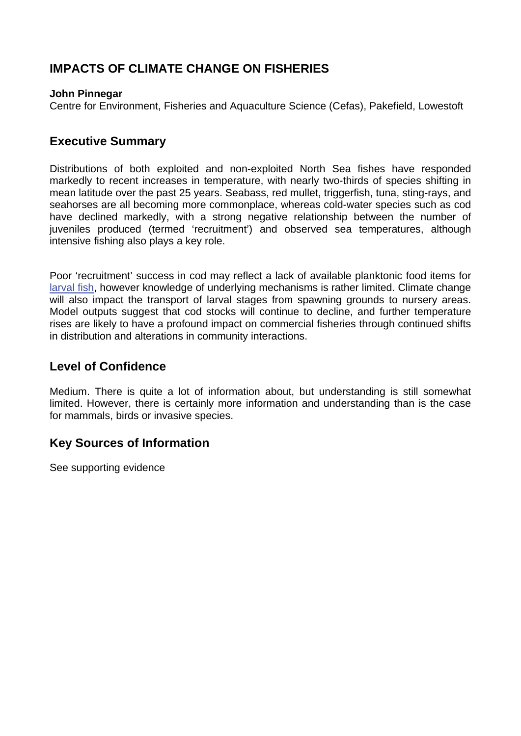# **IMPACTS OF CLIMATE CHANGE ON FISHERIES**

#### **John Pinnegar**

Centre for Environment, Fisheries and Aquaculture Science (Cefas), Pakefield, Lowestoft

## **Executive Summary**

Distributions of both exploited and non-exploited North Sea fishes have responded markedly to recent increases in temperature, with nearly two-thirds of species shifting in mean latitude over the past 25 years. Seabass, red mullet, triggerfish, tuna, sting-rays, and seahorses are all becoming more commonplace, whereas cold-water species such as cod have declined markedly, with a strong negative relationship between the number of juveniles produced (termed 'recruitment') and observed sea temperatures, although intensive fishing also plays a key role.

Poor 'recruitment' success in cod may reflect a lack of available planktonic food items for [larval fish,](http://www.mccip.org.uk/arc/glossary.htm) however knowledge of underlying mechanisms is rather limited. Climate change will also impact the transport of larval stages from spawning grounds to nursery areas. Model outputs suggest that cod stocks will continue to decline, and further temperature rises are likely to have a profound impact on commercial fisheries through continued shifts in distribution and alterations in community interactions.

## **Level of Confidence**

Medium. There is quite a lot of information about, but understanding is still somewhat limited. However, there is certainly more information and understanding than is the case for mammals, birds or invasive species.

## **Key Sources of Information**

See supporting evidence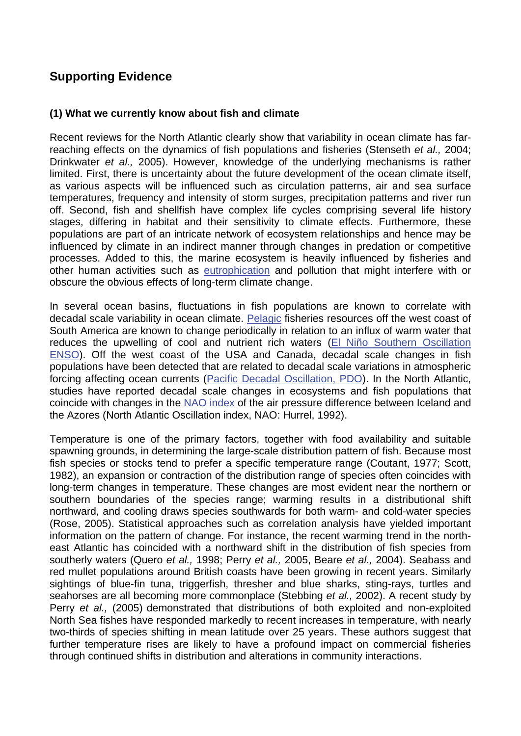# **Supporting Evidence**

#### **(1) What we currently know about fish and climate**

Recent reviews for the North Atlantic clearly show that variability in ocean climate has farreaching effects on the dynamics of fish populations and fisheries (Stenseth *et al.,* 2004; Drinkwater *et al.,* 2005). However, knowledge of the underlying mechanisms is rather limited. First, there is uncertainty about the future development of the ocean climate itself, as various aspects will be influenced such as circulation patterns, air and sea surface temperatures, frequency and intensity of storm surges, precipitation patterns and river run off. Second, fish and shellfish have complex life cycles comprising several life history stages, differing in habitat and their sensitivity to climate effects. Furthermore, these populations are part of an intricate network of ecosystem relationships and hence may be influenced by climate in an indirect manner through changes in predation or competitive processes. Added to this, the marine ecosystem is heavily influenced by fisheries and other human activities such as [eutrophication a](http://www.mccip.org.uk/arc/glossary.htm)nd pollution that might interfere with or obscure the obvious effects of long-term climate change.

In several ocean basins, fluctuations in fish populations are known to correlate with decadal scale variability in ocean climate[. Pelagic](http://www.mccip.org.uk/arc/glossary.htm) fisheries resources off the west coast of South America are known to change periodically in relation to an influx of warm water that reduces the upwelling of cool and nutrient rich waters [\(El Niño Southern Oscillation](http://www.mccip.org.uk/arc/glossary.htm)  [ENSO\).](http://www.mccip.org.uk/arc/glossary.htm) Off the west coast of the USA and Canada, decadal scale changes in fish populations have been detected that are related to decadal scale variations in atmospheric forcing affecting ocean currents [\(Pacific Decadal Oscillation, PDO\).](http://www.mccip.org.uk/arc/glossary.htm) In the North Atlantic, studies have reported decadal scale changes in ecosystems and fish populations that coincide with changes in the [NAO index o](http://www.mccip.org.uk/arc/glossary.htm)f the air pressure difference between Iceland and the Azores (North Atlantic Oscillation index, NAO: Hurrel, 1992).

Temperature is one of the primary factors, together with food availability and suitable spawning grounds, in determining the large-scale distribution pattern of fish. Because most fish species or stocks tend to prefer a specific temperature range (Coutant, 1977; Scott, 1982), an expansion or contraction of the distribution range of species often coincides with long-term changes in temperature. These changes are most evident near the northern or southern boundaries of the species range; warming results in a distributional shift northward, and cooling draws species southwards for both warm- and cold-water species (Rose, 2005). Statistical approaches such as correlation analysis have yielded important information on the pattern of change. For instance, the recent warming trend in the northeast Atlantic has coincided with a northward shift in the distribution of fish species from southerly waters (Quero *et al.,* 1998; Perry *et al.,* 2005, Beare *et al.,* 2004). Seabass and red mullet populations around British coasts have been growing in recent years. Similarly sightings of blue-fin tuna, triggerfish, thresher and blue sharks, sting-rays, turtles and seahorses are all becoming more commonplace (Stebbing *et al.,* 2002). A recent study by Perry *et al.,* (2005) demonstrated that distributions of both exploited and non-exploited North Sea fishes have responded markedly to recent increases in temperature, with nearly two-thirds of species shifting in mean latitude over 25 years. These authors suggest that further temperature rises are likely to have a profound impact on commercial fisheries through continued shifts in distribution and alterations in community interactions.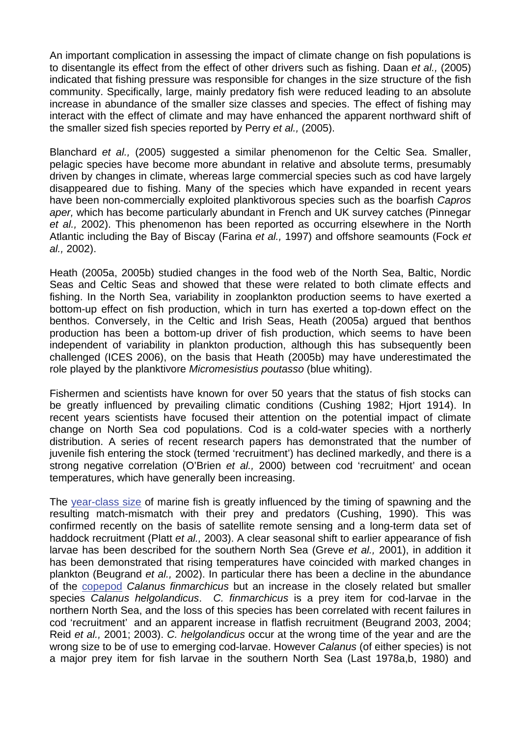An important complication in assessing the impact of climate change on fish populations is to disentangle its effect from the effect of other drivers such as fishing. Daan *et al.,* (2005) indicated that fishing pressure was responsible for changes in the size structure of the fish community. Specifically, large, mainly predatory fish were reduced leading to an absolute increase in abundance of the smaller size classes and species. The effect of fishing may interact with the effect of climate and may have enhanced the apparent northward shift of the smaller sized fish species reported by Perry *et al.,* (2005).

Blanchard *et al.,* (2005) suggested a similar phenomenon for the Celtic Sea. Smaller, pelagic species have become more abundant in relative and absolute terms, presumably driven by changes in climate, whereas large commercial species such as cod have largely disappeared due to fishing. Many of the species which have expanded in recent years have been non-commercially exploited planktivorous species such as the boarfish *Capros aper,* which has become particularly abundant in French and UK survey catches (Pinnegar *et al.,* 2002). This phenomenon has been reported as occurring elsewhere in the North Atlantic including the Bay of Biscay (Farina *et al.,* 1997) and offshore seamounts (Fock *et al.,* 2002).

Heath (2005a, 2005b) studied changes in the food web of the North Sea, Baltic, Nordic Seas and Celtic Seas and showed that these were related to both climate effects and fishing. In the North Sea, variability in zooplankton production seems to have exerted a bottom-up effect on fish production, which in turn has exerted a top-down effect on the benthos. Conversely, in the Celtic and Irish Seas, Heath (2005a) argued that benthos production has been a bottom-up driver of fish production, which seems to have been independent of variability in plankton production, although this has subsequently been challenged (ICES 2006), on the basis that Heath (2005b) may have underestimated the role played by the planktivore *Micromesistius poutasso* (blue whiting).

Fishermen and scientists have known for over 50 years that the status of fish stocks can be greatly influenced by prevailing climatic conditions (Cushing 1982; Hjort 1914). In recent years scientists have focused their attention on the potential impact of climate change on North Sea cod populations. Cod is a cold-water species with a northerly distribution. A series of recent research papers has demonstrated that the number of juvenile fish entering the stock (termed 'recruitment') has declined markedly, and there is a strong negative correlation (O'Brien *et al.,* 2000) between cod 'recruitment' and ocean temperatures, which have generally been increasing.

The [year-class size](http://www.mccip.org.uk/arc/glossary.htm) of marine fish is greatly influenced by the timing of spawning and the resulting match-mismatch with their prey and predators (Cushing, 1990). This was confirmed recently on the basis of satellite remote sensing and a long-term data set of haddock recruitment (Platt *et al.,* 2003). A clear seasonal shift to earlier appearance of fish larvae has been described for the southern North Sea (Greve *et al.,* 2001), in addition it has been demonstrated that rising temperatures have coincided with marked changes in plankton (Beugrand *et al.,* 2002). In particular there has been a decline in the abundance of the [copepod](http://www.mccip.org.uk/arc/glossary.htm) *Calanus finmarchicus* but an increase in the closely related but smaller species *Calanus helgolandicus*. *C. finmarchicus* is a prey item for cod-larvae in the northern North Sea, and the loss of this species has been correlated with recent failures in cod 'recruitment' and an apparent increase in flatfish recruitment (Beugrand 2003, 2004; Reid *et al.,* 2001; 2003). *C. helgolandicus* occur at the wrong time of the year and are the wrong size to be of use to emerging cod-larvae. However *Calanus* (of either species) is not a major prey item for fish larvae in the southern North Sea (Last 1978a,b, 1980) and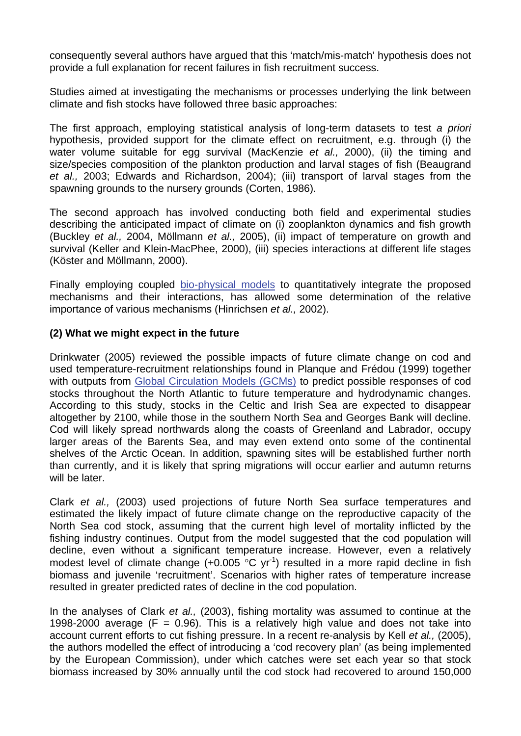consequently several authors have argued that this 'match/mis-match' hypothesis does not provide a full explanation for recent failures in fish recruitment success.

Studies aimed at investigating the mechanisms or processes underlying the link between climate and fish stocks have followed three basic approaches:

The first approach, employing statistical analysis of long-term datasets to test *a priori* hypothesis, provided support for the climate effect on recruitment, e.g. through (i) the water volume suitable for egg survival (MacKenzie *et al.,* 2000), (ii) the timing and size/species composition of the plankton production and larval stages of fish (Beaugrand *et al.,* 2003; Edwards and Richardson, 2004); (iii) transport of larval stages from the spawning grounds to the nursery grounds (Corten, 1986).

The second approach has involved conducting both field and experimental studies describing the anticipated impact of climate on (i) zooplankton dynamics and fish growth (Buckley *et al.,* 2004, Möllmann *et al.,* 2005), (ii) impact of temperature on growth and survival (Keller and Klein-MacPhee, 2000), (iii) species interactions at different life stages (Köster and Möllmann, 2000).

Finally employing coupled [bio-physical models](http://www.mccip.org.uk/arc/glossary.htm) to quantitatively integrate the proposed mechanisms and their interactions, has allowed some determination of the relative importance of various mechanisms (Hinrichsen *et al.,* 2002).

### **(2) What we might expect in the future**

Drinkwater (2005) reviewed the possible impacts of future climate change on cod and used temperature-recruitment relationships found in Planque and Frédou (1999) together with outputs from [Global Circulation Models \(GCMs\)](http://www.mccip.org.uk/arc/glossary.htm) to predict possible responses of cod stocks throughout the North Atlantic to future temperature and hydrodynamic changes. According to this study, stocks in the Celtic and Irish Sea are expected to disappear altogether by 2100, while those in the southern North Sea and Georges Bank will decline. Cod will likely spread northwards along the coasts of Greenland and Labrador, occupy larger areas of the Barents Sea, and may even extend onto some of the continental shelves of the Arctic Ocean. In addition, spawning sites will be established further north than currently, and it is likely that spring migrations will occur earlier and autumn returns will be later.

Clark *et al.,* (2003) used projections of future North Sea surface temperatures and estimated the likely impact of future climate change on the reproductive capacity of the North Sea cod stock, assuming that the current high level of mortality inflicted by the fishing industry continues. Output from the model suggested that the cod population will decline, even without a significant temperature increase. However, even a relatively modest level of climate change  $(+0.005 \degree C \text{ yr}^{-1})$  resulted in a more rapid decline in fish biomass and juvenile 'recruitment'. Scenarios with higher rates of temperature increase resulted in greater predicted rates of decline in the cod population.

In the analyses of Clark *et al.,* (2003), fishing mortality was assumed to continue at the 1998-2000 average ( $F = 0.96$ ). This is a relatively high value and does not take into account current efforts to cut fishing pressure. In a recent re-analysis by Kell *et al.,* (2005), the authors modelled the effect of introducing a 'cod recovery plan' (as being implemented by the European Commission), under which catches were set each year so that stock biomass increased by 30% annually until the cod stock had recovered to around 150,000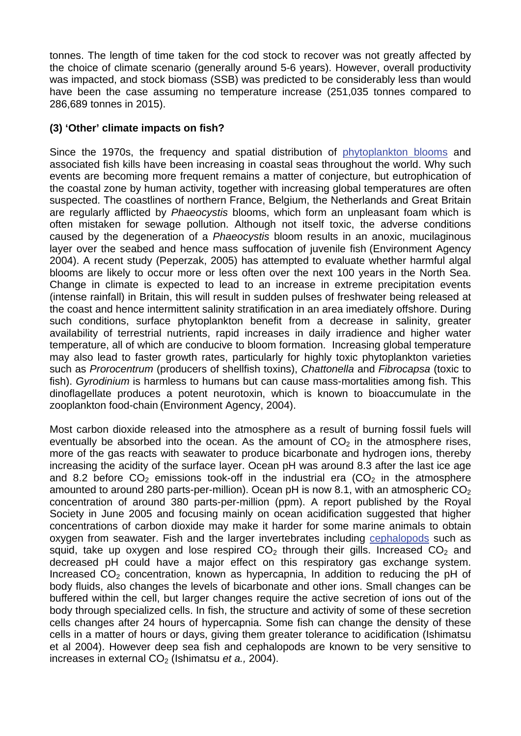tonnes. The length of time taken for the cod stock to recover was not greatly affected by the choice of climate scenario (generally around 5-6 years). However, overall productivity was impacted, and stock biomass (SSB) was predicted to be considerably less than would have been the case assuming no temperature increase (251,035 tonnes compared to 286,689 tonnes in 2015).

### **(3) 'Other' climate impacts on fish?**

Since the 1970s, the frequency and spatial distribution of [phytoplankton blooms](http://www.mccip.org.uk/arc/glossary.htm) and associated fish kills have been increasing in coastal seas throughout the world. Why such events are becoming more frequent remains a matter of conjecture, but eutrophication of the coastal zone by human activity, together with increasing global temperatures are often suspected. The coastlines of northern France, Belgium, the Netherlands and Great Britain are regularly afflicted by *Phaeocystis* blooms, which form an unpleasant foam which is often mistaken for sewage pollution. Although not itself toxic, the adverse conditions caused by the degeneration of a *Phaeocystis* bloom results in an anoxic, mucilaginous layer over the seabed and hence mass suffocation of juvenile fish (Environment Agency 2004). A recent study (Peperzak, 2005) has attempted to evaluate whether harmful algal blooms are likely to occur more or less often over the next 100 years in the North Sea. Change in climate is expected to lead to an increase in extreme precipitation events (intense rainfall) in Britain, this will result in sudden pulses of freshwater being released at the coast and hence intermittent salinity stratification in an area imediately offshore. During such conditions, surface phytoplankton benefit from a decrease in salinity, greater availability of terrestrial nutrients, rapid increases in daily irradience and higher water temperature, all of which are conducive to bloom formation. Increasing global temperature may also lead to faster growth rates, particularly for highly toxic phytoplankton varieties such as *Prorocentrum* (producers of shellfish toxins), *Chattonella* and *Fibrocapsa* (toxic to fish). *Gyrodinium* is harmless to humans but can cause mass-mortalities among fish. This dinoflagellate produces a potent neurotoxin, which is known to bioaccumulate in the zooplankton food-chain (Environment Agency, 2004).

Most carbon dioxide released into the atmosphere as a result of burning fossil fuels will eventually be absorbed into the ocean. As the amount of  $CO<sub>2</sub>$  in the atmosphere rises, more of the gas reacts with seawater to produce bicarbonate and hydrogen ions, thereby increasing the acidity of the surface layer. Ocean pH was around 8.3 after the last ice age and 8.2 before  $CO<sub>2</sub>$  emissions took-off in the industrial era ( $CO<sub>2</sub>$  in the atmosphere amounted to around 280 parts-per-million). Ocean pH is now 8.1, with an atmospheric  $CO<sub>2</sub>$ concentration of around 380 parts-per-million (ppm). A report published by the Royal Society in June 2005 and focusing mainly on ocean acidification suggested that higher concentrations of carbon dioxide may make it harder for some marine animals to obtain oxygen from seawater. Fish and the larger invertebrates including [cephalopods](http://www.mccip.org.uk/arc/glossary.htm) such as squid, take up oxygen and lose respired  $CO<sub>2</sub>$  through their gills. Increased  $CO<sub>2</sub>$  and decreased pH could have a major effect on this respiratory gas exchange system. Increased  $CO<sub>2</sub>$  concentration, known as hypercapnia, In addition to reducing the pH of body fluids, also changes the levels of bicarbonate and other ions. Small changes can be buffered within the cell, but larger changes require the active secretion of ions out of the body through specialized cells. In fish, the structure and activity of some of these secretion cells changes after 24 hours of hypercapnia. Some fish can change the density of these cells in a matter of hours or days, giving them greater tolerance to acidification (Ishimatsu et al 2004). However deep sea fish and cephalopods are known to be very sensitive to increases in external CO<sub>2</sub> (Ishimatsu *et a.*, 2004).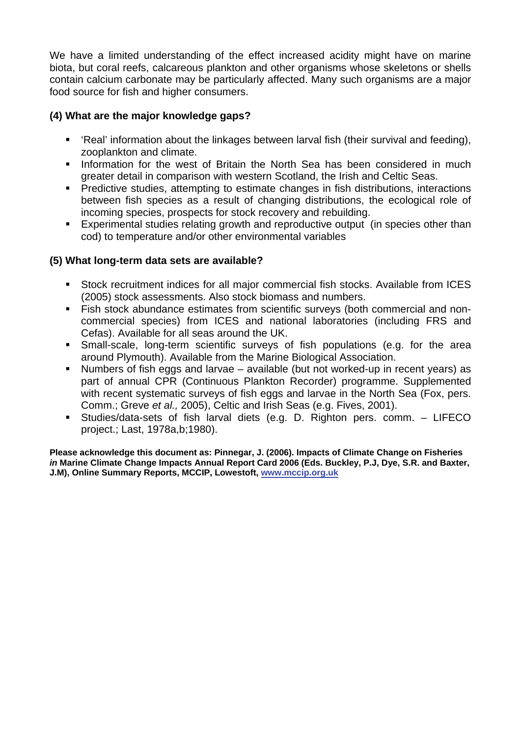We have a limited understanding of the effect increased acidity might have on marine biota, but coral reefs, calcareous plankton and other organisms whose skeletons or shells contain calcium carbonate may be particularly affected. Many such organisms are a major food source for fish and higher consumers.

### **(4) What are the major knowledge gaps?**

- 'Real' information about the linkages between larval fish (their survival and feeding), zooplankton and climate.
- **Information for the west of Britain the North Sea has been considered in much** greater detail in comparison with western Scotland, the Irish and Celtic Seas.
- Predictive studies, attempting to estimate changes in fish distributions, interactions between fish species as a result of changing distributions, the ecological role of incoming species, prospects for stock recovery and rebuilding.
- Experimental studies relating growth and reproductive output (in species other than cod) to temperature and/or other environmental variables

### **(5) What long-term data sets are available?**

- Stock recruitment indices for all major commercial fish stocks. Available from ICES (2005) stock assessments. Also stock biomass and numbers.
- Fish stock abundance estimates from scientific surveys (both commercial and noncommercial species) from ICES and national laboratories (including FRS and Cefas). Available for all seas around the UK.
- Small-scale, long-term scientific surveys of fish populations (e.g. for the area around Plymouth). Available from the Marine Biological Association.
- Numbers of fish eggs and larvae available (but not worked-up in recent years) as part of annual CPR (Continuous Plankton Recorder) programme. Supplemented with recent systematic surveys of fish eggs and larvae in the North Sea (Fox, pers. Comm.; Greve *et al.,* 2005), Celtic and Irish Seas (e.g. Fives, 2001).
- Studies/data-sets of fish larval diets (e.g. D. Righton pers. comm. LIFECO project.; Last, 1978a,b;1980).

**Please acknowledge this document as: Pinnegar, J. (2006). Impacts of Climate Change on Fisheries**  *in* **Marine Climate Change Impacts Annual Report Card 2006 (Eds. Buckley, P.J, Dye, S.R. and Baxter, J.M), Online Summary Reports, MCCIP, Lowestoft, [www.mccip.org.uk](http://www.mccip.org.uk/)**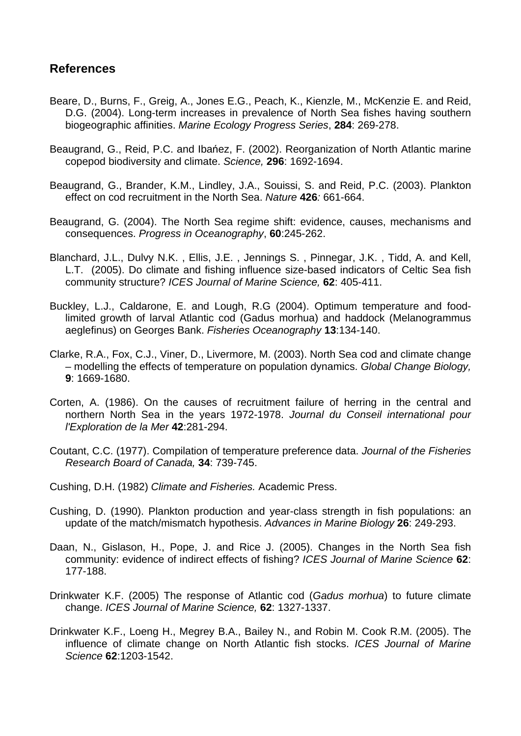## **References**

- Beare, D., Burns, F., Greig, A., Jones E.G., Peach, K., Kienzle, M., McKenzie E. and Reid, D.G. (2004). Long-term increases in prevalence of North Sea fishes having southern biogeographic affinities. *Marine Ecology Progress Series*, **284**: 269-278.
- Beaugrand, G., Reid, P.C. and Ibańez, F. (2002). Reorganization of North Atlantic marine copepod biodiversity and climate. *Science,* **296**: 1692-1694.
- Beaugrand, G., Brander, K.M., Lindley, J.A., Souissi, S. and Reid, P.C. (2003). Plankton effect on cod recruitment in the North Sea. *Nature* **426***:* 661-664.
- Beaugrand, G. (2004). The North Sea regime shift: evidence, causes, mechanisms and consequences. *Progress in Oceanography*, **60**:245-262.
- Blanchard, J.L., Dulvy N.K. , Ellis, J.E. , Jennings S. , Pinnegar, J.K. , Tidd, A. and Kell, L.T. (2005). Do climate and fishing influence size-based indicators of Celtic Sea fish community structure? *ICES Journal of Marine Science,* **62**: 405-411.
- Buckley, L.J., Caldarone, E. and Lough, R.G (2004). Optimum temperature and foodlimited growth of larval Atlantic cod (Gadus morhua) and haddock (Melanogrammus aeglefinus) on Georges Bank. *Fisheries Oceanography* **13**:134-140.
- Clarke, R.A., Fox, C.J., Viner, D., Livermore, M. (2003). North Sea cod and climate change – modelling the effects of temperature on population dynamics. *Global Change Biology,* **9**: 1669-1680.
- Corten, A. (1986). On the causes of recruitment failure of herring in the central and northern North Sea in the years 1972-1978. *Journal du Conseil international pour l'Exploration de la Mer* **42**:281-294.
- Coutant, C.C. (1977). Compilation of temperature preference data. *Journal of the Fisheries Research Board of Canada,* **34**: 739-745.
- Cushing, D.H. (1982) *Climate and Fisheries.* Academic Press.
- Cushing, D. (1990). Plankton production and year-class strength in fish populations: an update of the match/mismatch hypothesis. *Advances in Marine Biology* **26**: 249-293.
- Daan, N., Gislason, H., Pope, J. and Rice J. (2005). Changes in the North Sea fish community: evidence of indirect effects of fishing? *ICES Journal of Marine Science* **62**: 177-188.
- Drinkwater K.F. (2005) The response of Atlantic cod (*Gadus morhua*) to future climate change. *ICES Journal of Marine Science,* **62**: 1327-1337.
- Drinkwater K.F., Loeng H., Megrey B.A., Bailey N., and Robin M. Cook R.M. (2005). The influence of climate change on North Atlantic fish stocks. *ICES Journal of Marine Science* **62**:1203-1542.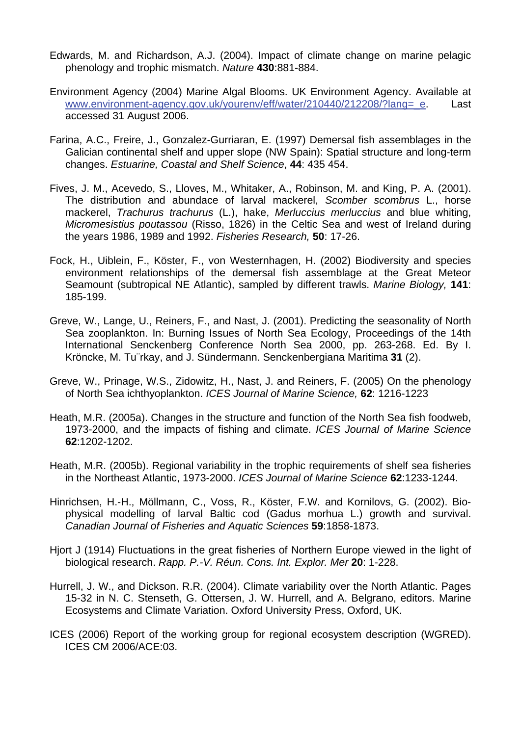- Edwards, M. and Richardson, A.J. (2004). Impact of climate change on marine pelagic phenology and trophic mismatch. *Nature* **430**:881-884.
- Environment Agency (2004) Marine Algal Blooms. UK Environment Agency. Available at [www.environment-agency.gov.uk/yourenv/eff/water/210440/212208/?lang=\\_e.](http://www.environment-agency.gov.uk/yourenv/eff/water/210440/212208/?lang=_e) Last accessed 31 August 2006.
- Farina, A.C., Freire, J., Gonzalez-Gurriaran, E. (1997) Demersal fish assemblages in the Galician continental shelf and upper slope (NW Spain): Spatial structure and long-term changes. *Estuarine, Coastal and Shelf Science*, **44**: 435 454.
- Fives, J. M., Acevedo, S., Lloves, M., Whitaker, A., Robinson, M. and King, P. A. (2001). The distribution and abundace of larval mackerel, *Scomber scombrus* L., horse mackerel, *Trachurus trachurus* (L.), hake, *Merluccius merluccius* and blue whiting, *Micromesistius poutassou* (Risso, 1826) in the Celtic Sea and west of Ireland during the years 1986, 1989 and 1992. *Fisheries Research,* **50**: 17-26.
- Fock, H., Uiblein, F., Köster, F., von Westernhagen, H. (2002) Biodiversity and species environment relationships of the demersal fish assemblage at the Great Meteor Seamount (subtropical NE Atlantic), sampled by different trawls. *Marine Biology,* **141**: 185-199.
- Greve, W., Lange, U., Reiners, F., and Nast, J. (2001). Predicting the seasonality of North Sea zooplankton. In: Burning Issues of North Sea Ecology, Proceedings of the 14th International Senckenberg Conference North Sea 2000, pp. 263-268. Ed. By I. Kröncke, M. Tu¨rkay, and J. Sündermann. Senckenbergiana Maritima **31** (2).
- Greve, W., Prinage, W.S., Zidowitz, H., Nast, J. and Reiners, F. (2005) On the phenology of North Sea ichthyoplankton. *ICES Journal of Marine Science,* **62**: 1216-1223
- Heath, M.R. (2005a). Changes in the structure and function of the North Sea fish foodweb, 1973-2000, and the impacts of fishing and climate. *ICES Journal of Marine Science* **62**:1202-1202.
- Heath, M.R. (2005b). Regional variability in the trophic requirements of shelf sea fisheries in the Northeast Atlantic, 1973-2000. *ICES Journal of Marine Science* **62**:1233-1244.
- Hinrichsen, H.-H., Möllmann, C., Voss, R., Köster, F.W. and Kornilovs, G. (2002). Biophysical modelling of larval Baltic cod (Gadus morhua L.) growth and survival. *Canadian Journal of Fisheries and Aquatic Sciences* **59**:1858-1873.
- Hjort J (1914) Fluctuations in the great fisheries of Northern Europe viewed in the light of biological research. *Rapp. P.-V. Réun. Cons. Int. Explor. Mer* **20**: 1-228.
- Hurrell, J. W., and Dickson. R.R. (2004). Climate variability over the North Atlantic. Pages 15-32 in N. C. Stenseth, G. Ottersen, J. W. Hurrell, and A. Belgrano, editors. Marine Ecosystems and Climate Variation. Oxford University Press, Oxford, UK.
- ICES (2006) Report of the working group for regional ecosystem description (WGRED). ICES CM 2006/ACE:03.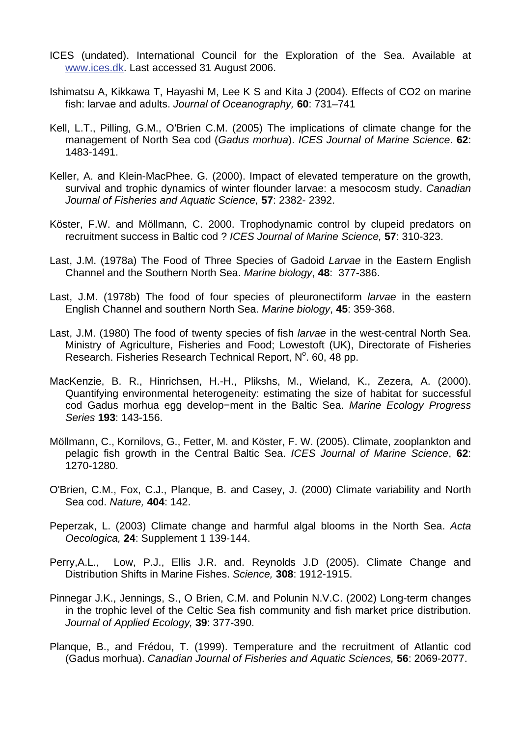- ICES (undated). International Council for the Exploration of the Sea. Available at [www.ices.dk](http://www.ices.dk/). Last accessed 31 August 2006.
- Ishimatsu A, Kikkawa T, Hayashi M, Lee K S and Kita J (2004). Effects of CO2 on marine fish: larvae and adults. *Journal of Oceanography,* **60**: 731–741
- Kell, L.T., Pilling, G.M., O'Brien C.M. (2005) The implications of climate change for the management of North Sea cod (*Gadus morhua*). *ICES Journal of Marine Science*. **62**: 1483-1491.
- Keller, A. and Klein-MacPhee. G. (2000). Impact of elevated temperature on the growth, survival and trophic dynamics of winter flounder larvae: a mesocosm study. *Canadian Journal of Fisheries and Aquatic Science,* **57**: 2382- 2392.
- Köster, F.W. and Möllmann, C. 2000. Trophodynamic control by clupeid predators on recruitment success in Baltic cod ? *ICES Journal of Marine Science,* **57**: 310-323.
- Last, J.M. (1978a) The Food of Three Species of Gadoid *Larvae* in the Eastern English Channel and the Southern North Sea. *Marine biology*, **48**: 377-386.
- Last, J.M. (1978b) The food of four species of pleuronectiform *larvae* in the eastern English Channel and southern North Sea. *Marine biology*, **45**: 359-368.
- Last, J.M. (1980) The food of twenty species of fish *larvae* in the west-central North Sea. Ministry of Agriculture, Fisheries and Food; Lowestoft (UK), Directorate of Fisheries Research. Fisheries Research Technical Report, N°. 60, 48 pp.
- MacKenzie, B. R., Hinrichsen, H.-H., Plikshs, M., Wieland, K., Zezera, A. (2000). Quantifying environmental heterogeneity: estimating the size of habitat for successful cod Gadus morhua egg develop−ment in the Baltic Sea. *Marine Ecology Progress Series* **193**: 143-156.
- Möllmann, C., Kornilovs, G., Fetter, M. and Köster, F. W. (2005). Climate, zooplankton and pelagic fish growth in the Central Baltic Sea. *ICES Journal of Marine Science*, **62**: 1270-1280.
- O'Brien, C.M., Fox, C.J., Planque, B. and Casey, J. (2000) Climate variability and North Sea cod. *Nature,* **404**: 142.
- Peperzak, L. (2003) Climate change and harmful algal blooms in the North Sea. *Acta Oecologica,* **24**: Supplement 1 139-144.
- Perry,A.L., Low, P.J., Ellis J.R. and. Reynolds J.D (2005). Climate Change and Distribution Shifts in Marine Fishes. *Science,* **308**: 1912-1915.
- Pinnegar J.K., Jennings, S., O Brien, C.M. and Polunin N.V.C. (2002) Long-term changes in the trophic level of the Celtic Sea fish community and fish market price distribution. *Journal of Applied Ecology,* **39**: 377-390.
- Planque, B., and Frédou, T. (1999). Temperature and the recruitment of Atlantic cod (Gadus morhua). *Canadian Journal of Fisheries and Aquatic Sciences,* **56**: 2069-2077.